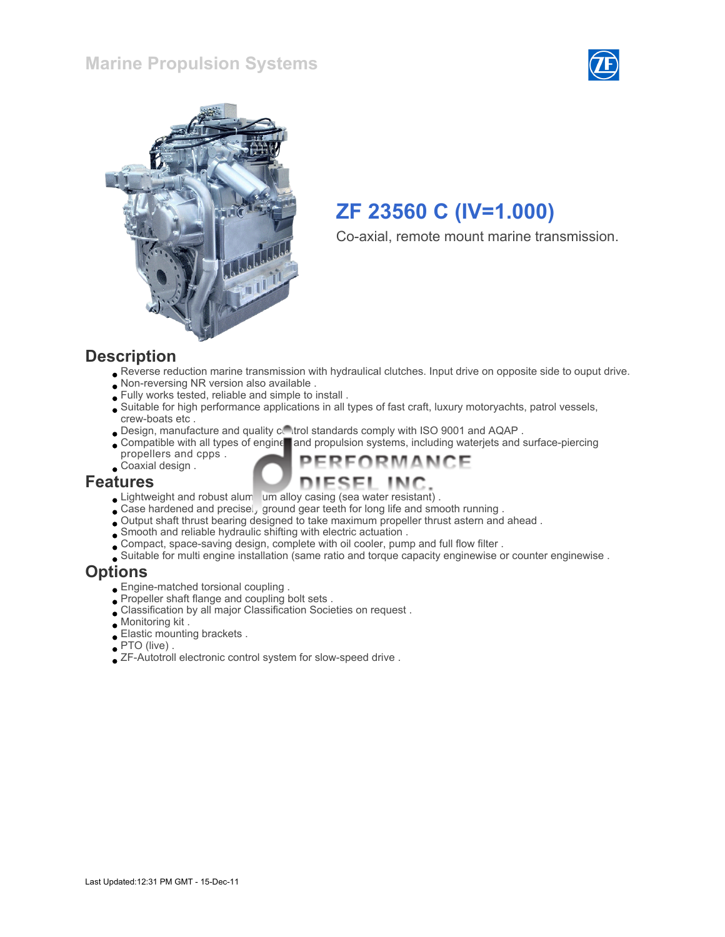#### Marine Propulsion Systems





# ZF 23560 C (IV=1.000)

Co-axial, remote mount marine transmission.

#### **Description**

Reverse reduction marine transmission with hydraulical clutches. Input drive on opposite side to ouput drive.

FORMANCE

- Non-reversing NR version also available .
- Fully works tested, reliable and simple to install .
- Suitable for high performance applications in all types of fast craft, luxury motoryachts, patrol vessels, crew-boats etc .
- . Design, manufacture and quality control standards comply with ISO 9001 and AQAP.
- Compatible with all types of engine and propulsion systems, including waterjets and surface-piercing
- propellers and cpps . Coaxial design .

#### Features

- Lightweight and robust alum um alloy casing (sea water resistant).
- Case hardened and precisel, ground gear teeth for long life and smooth running.
- Output shaft thrust bearing designed to take maximum propeller thrust astern and ahead .
- Smooth and reliable hydraulic shifting with electric actuation .
- Compact, space-saving design, complete with oil cooler, pump and full flow filter .
- Suitable for multi engine installation (same ratio and torque capacity enginewise or counter enginewise .

#### **Options**

- Engine-matched torsional coupling .
- Propeller shaft flange and coupling bolt sets .
- Classification by all major Classification Societies on request .
- Monitoring kit .
- Elastic mounting brackets .
- PTO (live) .
- ZF-Autotroll electronic control system for slow-speed drive .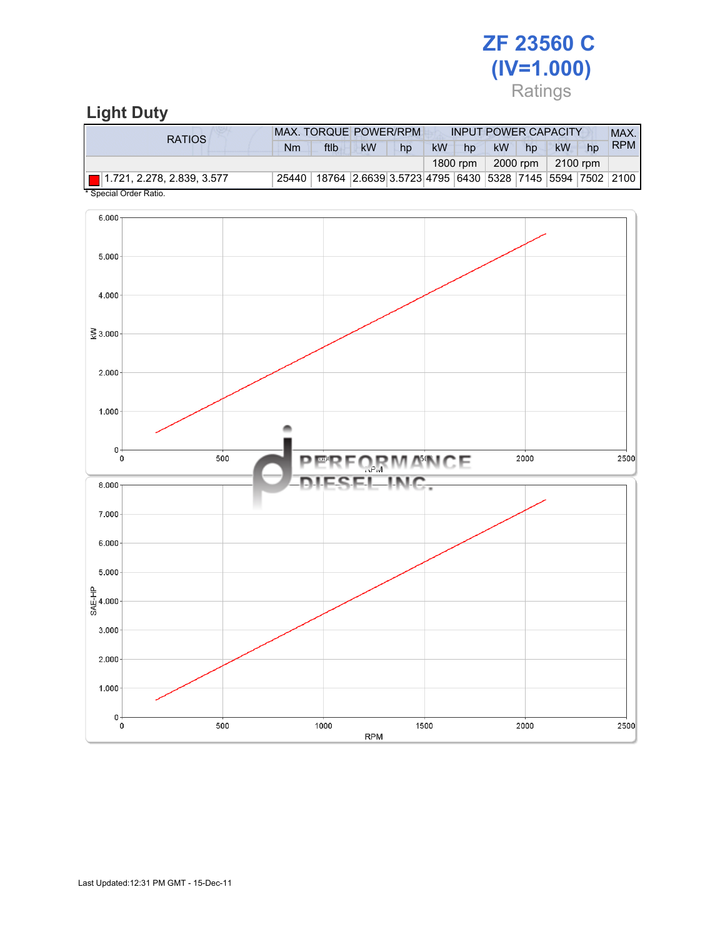# ZF 23560 C (IV=1.000) Ratings

## Light Duty

| RATIOS                   | <b>MAX. TORQUE POWER/RPM</b><br><b>INPUT POWER CAPACITY</b> |                                                                              |            |    |          |    |           |    |           |    | MAX.       |
|--------------------------|-------------------------------------------------------------|------------------------------------------------------------------------------|------------|----|----------|----|-----------|----|-----------|----|------------|
|                          | Nm                                                          | ftlb                                                                         | <b>kW</b>  | hp | kW.      | hp | <b>kW</b> | hp | <b>kW</b> | hp | <b>RPM</b> |
|                          | 1800 rpm                                                    |                                                                              | 2000 rpm 1 |    | 2100 rpm |    |           |    |           |    |            |
|                          |                                                             | 25440   18764   2.6639 3.5723 4795   6430   5328   7145   5594   7502   2100 |            |    |          |    |           |    |           |    |            |
| $*$ Consaint Order Datio |                                                             |                                                                              |            |    |          |    |           |    |           |    |            |

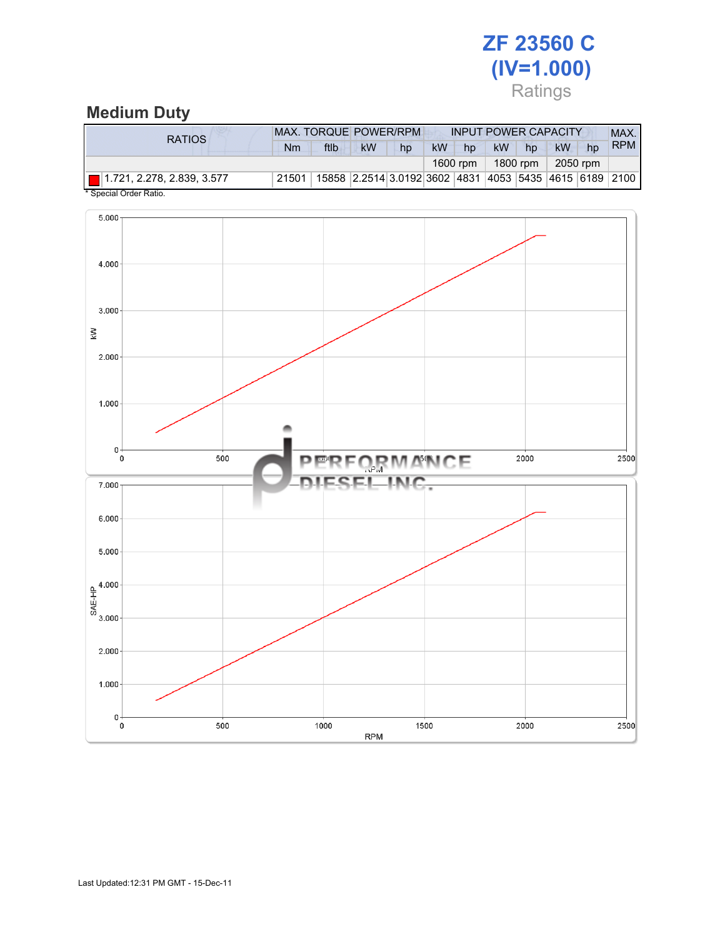# ZF 23560 C (IV=1.000) Ratings

## Medium Duty

| RATIOS                                 | <b>MAX. TORQUE POWER/RPM</b> |      |                                                        |    |           |    | <b>INPUT POWER CAPACITY</b> |    |    |    | MAX.       |
|----------------------------------------|------------------------------|------|--------------------------------------------------------|----|-----------|----|-----------------------------|----|----|----|------------|
|                                        | Nm                           | ftlb | <b>kW</b>                                              | hp | <b>kW</b> | hp | <b>kW</b>                   | hp | kW | hp | <b>RPM</b> |
|                                        | 1600 rpm                     |      | 1800 rpm                                               |    | 2050 rpm  |    |                             |    |    |    |            |
| $\boxed{ }$ 1.721, 2.278, 2.839, 3.577 | 21501                        |      | 15858 2.2514 3.0192 3602 4831 4053 5435 4615 6189 2100 |    |           |    |                             |    |    |    |            |
| * Special Order Ratio.                 |                              |      |                                                        |    |           |    |                             |    |    |    |            |

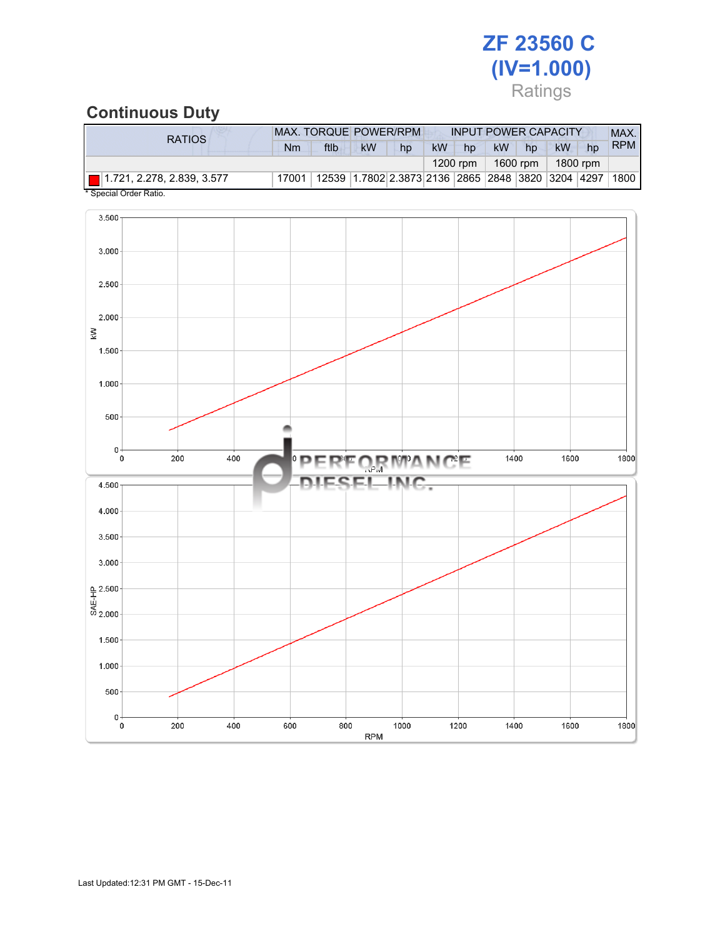# ZF 23560 C (IV=1.000) Ratings

## Continuous Duty

|                           | <b>RATIOS</b>              | MAX. TORQUE POWER/RPM<br><b>INPUT POWER CAPACITY</b> |      |                                                   |    |           |          |    |          |    |          | MAX.       |
|---------------------------|----------------------------|------------------------------------------------------|------|---------------------------------------------------|----|-----------|----------|----|----------|----|----------|------------|
|                           |                            | <b>Nm</b>                                            | ftlb | kW                                                | hp | <b>kW</b> | hp       | kW | hp       | kW | hp       | <b>RPM</b> |
|                           |                            |                                                      |      |                                                   |    |           | 1200 rpm |    | 1600 rpm |    | 1800 rpm |            |
|                           | 1.721, 2.278, 2.839, 3.577 | 17001                                                |      | 12539 1.7802 2.3873 2136 2865 2848 3820 3204 4297 |    |           |          |    |          |    |          | 1800       |
|                           | * Special Order Ratio.     |                                                      |      |                                                   |    |           |          |    |          |    |          |            |
| 3.500                     |                            |                                                      |      |                                                   |    |           |          |    |          |    |          |            |
| $3.000 -$                 |                            |                                                      |      |                                                   |    |           |          |    |          |    |          |            |
| $2.500 -$                 |                            |                                                      |      |                                                   |    |           |          |    |          |    |          |            |
| $2.000 -$<br>ΚŇ,<br>1.500 |                            |                                                      |      |                                                   |    |           |          |    |          |    |          |            |

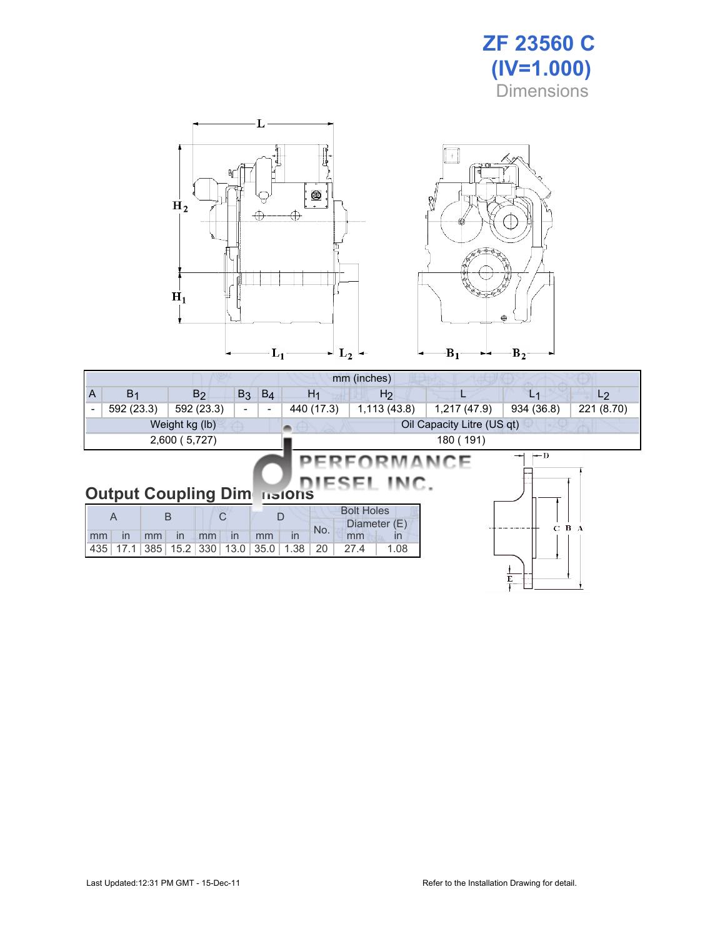



|                                                                                        | mm (inches)                                                                                                        |            |                |      |             |      |                |            |                      |              |  |                |                |
|----------------------------------------------------------------------------------------|--------------------------------------------------------------------------------------------------------------------|------------|----------------|------|-------------|------|----------------|------------|----------------------|--------------|--|----------------|----------------|
| $\overline{A}$                                                                         | B <sub>1</sub>                                                                                                     |            | B <sub>2</sub> |      | $B_3$ $B_4$ |      | H <sub>1</sub> |            | H <sub>2</sub>       |              |  | L <sub>1</sub> | L <sub>2</sub> |
| $\overline{\phantom{a}}$                                                               | 592 (23.3)                                                                                                         |            | 592 (23.3)     |      | Ξ.          |      | 440 (17.3)     |            | 1,113 (43.8)         | 1,217 (47.9) |  | 934 (36.8)     | 221 (8.70)     |
| Weight kg (lb)<br>Oil Capacity Litre (US qt)                                           |                                                                                                                    |            |                |      |             |      |                |            |                      |              |  |                |                |
| 2,600 (5,727)<br>180 (191)                                                             |                                                                                                                    |            |                |      |             |      |                |            |                      |              |  |                |                |
| $\leftarrow$ D<br>—<br>PERFORMANCE<br>DIESEL INC.<br><b>Output Coupling Dimensions</b> |                                                                                                                    |            |                |      |             |      |                |            |                      |              |  |                |                |
| mm                                                                                     | <b>Bolt Holes</b><br>B<br>C<br>$\overline{A}$<br>D<br>Diameter (E)<br>B A<br>$\mathbf{C}$<br>No.<br>in<br>in<br>in |            |                |      |             |      |                |            |                      |              |  |                |                |
| 435                                                                                    | mm<br>17.1<br>385                                                                                                  | in<br>15.2 | mm<br>330      | 13.0 | mm<br>35.0  | 1.38 | 20             | mm<br>27.4 | $\mathsf{I}$<br>1.08 |              |  |                |                |
|                                                                                        |                                                                                                                    |            |                |      |             |      |                |            |                      |              |  | E              |                |